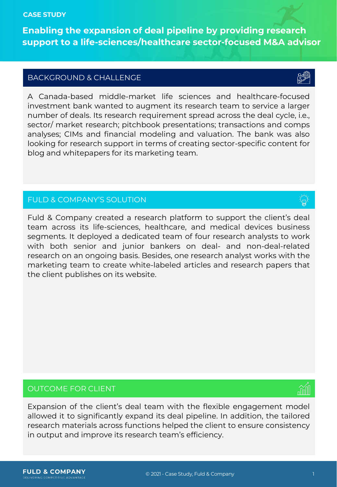#### **CASE STUDY**

**Enabling the expansion of deal pipeline by providing research support to a life-sciences/healthcare sector-focused M&A advisor**

# BACKGROUND & CHALLENGE

A Canada-based middle-market life sciences and healthcare-focused investment bank wanted to augment its research team to service a larger number of deals. Its research requirement spread across the deal cycle, i.e., sector/ market research; pitchbook presentations; transactions and comps analyses; CIMs and financial modeling and valuation. The bank was also looking for research support in terms of creating sector-specific content for blog and whitepapers for its marketing team.

# FULD & COMPANY'S SOLUTION

Fuld & Company created a research platform to support the client's deal team across its life-sciences, healthcare, and medical devices business segments. It deployed a dedicated team of four research analysts to work with both senior and junior bankers on deal- and non-deal-related research on an ongoing basis. Besides, one research analyst works with the marketing team to create white-labeled articles and research papers that the client publishes on its website.

## OUTCOME FOR CLIENT

Expansion of the client's deal team with the flexible engagement model allowed it to significantly expand its deal pipeline. In addition, the tailored research materials across functions helped the client to ensure consistency in output and improve its research team's efficiency.



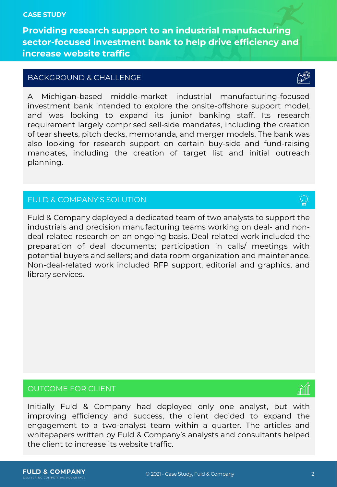#### **CASE STUDY**

**Providing research support to an industrial manufacturing sector-focused investment bank to help drive efficiency and increase website traffic**

### BACKGROUND & CHALLENGE

A Michigan-based middle-market industrial manufacturing-focused investment bank intended to explore the onsite-offshore support model, and was looking to expand its junior banking staff. Its research requirement largely comprised sell-side mandates, including the creation of tear sheets, pitch decks, memoranda, and merger models. The bank was also looking for research support on certain buy-side and fund-raising mandates, including the creation of target list and initial outreach planning.

## FULD & COMPANY'S SOLUTION

Fuld & Company deployed a dedicated team of two analysts to support the industrials and precision manufacturing teams working on deal- and nondeal-related research on an ongoing basis. Deal-related work included the preparation of deal documents; participation in calls/ meetings with potential buyers and sellers; and data room organization and maintenance. Non-deal-related work included RFP support, editorial and graphics, and library services.

### OUTCOME FOR CLIENT

Initially Fuld & Company had deployed only one analyst, but with improving efficiency and success, the client decided to expand the engagement to a two-analyst team within a quarter. The articles and whitepapers written by Fuld & Company's analysts and consultants helped the client to increase its website traffic.